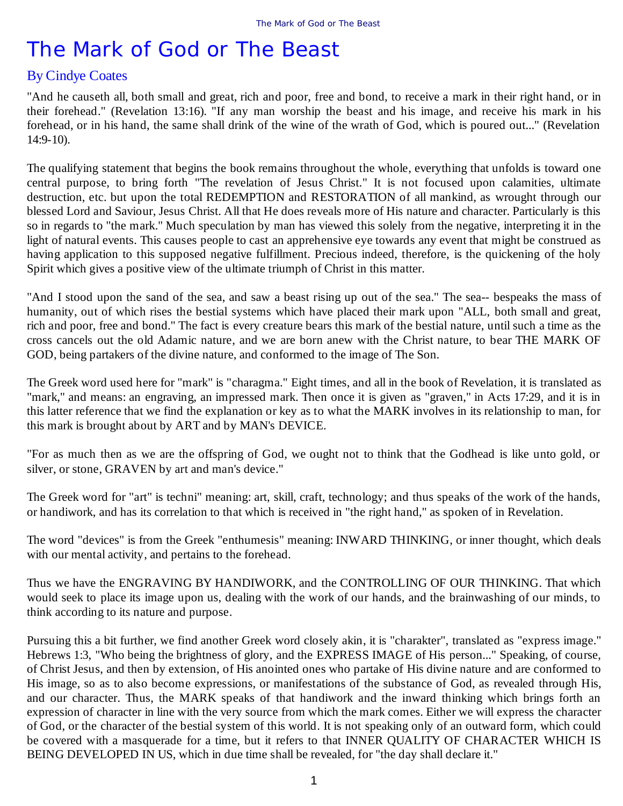## By Cindye Coates

"And he causeth all, both small and great, rich and poor, free and bond, to receive a mark in their right hand, or in their forehead." (Revelation 13:16). "If any man worship the beast and his image, and receive his mark in his forehead, or in his hand, the same shall drink of the wine of the wrath of God, which is poured out..." (Revelation 14:9-10).

The qualifying statement that begins the book remains throughout the whole, everything that unfolds is toward one central purpose, to bring forth "The revelation of Jesus Christ." It is not focused upon calamities, ultimate destruction, etc. but upon the total REDEMPTION and RESTORATION of all mankind, as wrought through our blessed Lord and Saviour, Jesus Christ. All that He does reveals more of His nature and character. Particularly is this so in regards to "the mark." Much speculation by man has viewed this solely from the negative, interpreting it in the light of natural events. This causes people to cast an apprehensive eye towards any event that might be construed as having application to this supposed negative fulfillment. Precious indeed, therefore, is the quickening of the holy Spirit which gives a positive view of the ultimate triumph of Christ in this matter.

"And I stood upon the sand of the sea, and saw a beast rising up out of the sea." The sea-- bespeaks the mass of humanity, out of which rises the bestial systems which have placed their mark upon "ALL, both small and great, rich and poor, free and bond." The fact is every creature bears this mark of the bestial nature, until such a time as the cross cancels out the old Adamic nature, and we are born anew with the Christ nature, to bear THE MARK OF GOD, being partakers of the divine nature, and conformed to the image of The Son.

The Greek word used here for "mark" is "charagma." Eight times, and all in the book of Revelation, it is translated as "mark," and means: an engraving, an impressed mark. Then once it is given as "graven," in Acts 17:29, and it is in this latter reference that we find the explanation or key as to what the MARK involves in its relationship to man, for this mark is brought about by ART and by MAN's DEVICE.

"For as much then as we are the offspring of God, we ought not to think that the Godhead is like unto gold, or silver, or stone, GRAVEN by art and man's device."

The Greek word for "art" is techni" meaning: art, skill, craft, technology; and thus speaks of the work of the hands, or handiwork, and has its correlation to that which is received in "the right hand," as spoken of in Revelation.

The word "devices" is from the Greek "enthumesis" meaning: INWARD THINKING, or inner thought, which deals with our mental activity, and pertains to the forehead.

Thus we have the ENGRAVING BY HANDIWORK, and the CONTROLLING OF OUR THINKING. That which would seek to place its image upon us, dealing with the work of our hands, and the brainwashing of our minds, to think according to its nature and purpose.

Pursuing this a bit further, we find another Greek word closely akin, it is "charakter", translated as "express image." Hebrews 1:3, "Who being the brightness of glory, and the EXPRESS IMAGE of His person..." Speaking, of course, of Christ Jesus, and then by extension, of His anointed ones who partake of His divine nature and are conformed to His image, so as to also become expressions, or manifestations of the substance of God, as revealed through His, and our character. Thus, the MARK speaks of that handiwork and the inward thinking which brings forth an expression of character in line with the very source from which the mark comes. Either we will express the character of God, or the character of the bestial system of this world. It is not speaking only of an outward form, which could be covered with a masquerade for a time, but it refers to that INNER QUALITY OF CHARACTER WHICH IS BEING DEVELOPED IN US, which in due time shall be revealed, for "the day shall declare it."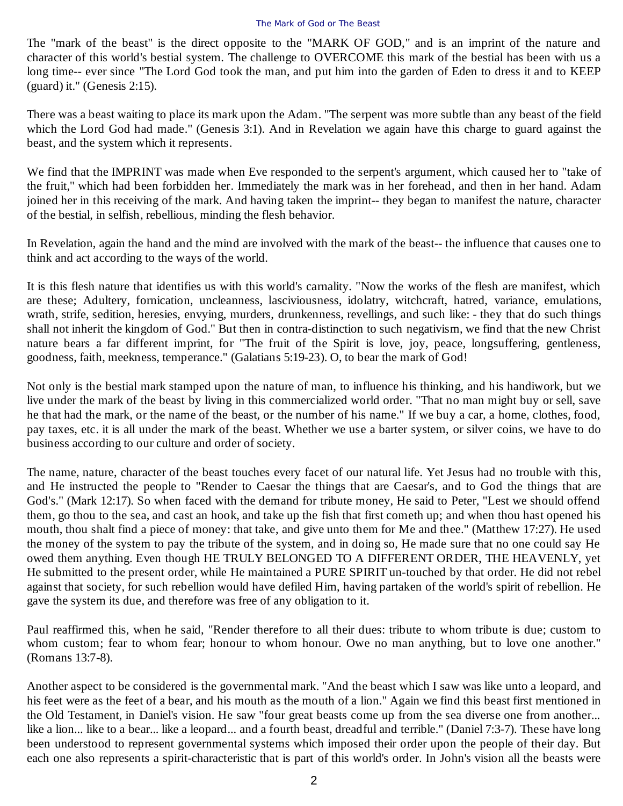The "mark of the beast" is the direct opposite to the "MARK OF GOD," and is an imprint of the nature and character of this world's bestial system. The challenge to OVERCOME this mark of the bestial has been with us a long time-- ever since "The Lord God took the man, and put him into the garden of Eden to dress it and to KEEP (guard) it." (Genesis 2:15).

There was a beast waiting to place its mark upon the Adam. "The serpent was more subtle than any beast of the field which the Lord God had made." (Genesis 3:1). And in Revelation we again have this charge to guard against the beast, and the system which it represents.

We find that the IMPRINT was made when Eve responded to the serpent's argument, which caused her to "take of the fruit," which had been forbidden her. Immediately the mark was in her forehead, and then in her hand. Adam joined her in this receiving of the mark. And having taken the imprint-- they began to manifest the nature, character of the bestial, in selfish, rebellious, minding the flesh behavior.

In Revelation, again the hand and the mind are involved with the mark of the beast-- the influence that causes one to think and act according to the ways of the world.

It is this flesh nature that identifies us with this world's carnality. "Now the works of the flesh are manifest, which are these; Adultery, fornication, uncleanness, lasciviousness, idolatry, witchcraft, hatred, variance, emulations, wrath, strife, sedition, heresies, envying, murders, drunkenness, revellings, and such like: - they that do such things shall not inherit the kingdom of God." But then in contra-distinction to such negativism, we find that the new Christ nature bears a far different imprint, for "The fruit of the Spirit is love, joy, peace, longsuffering, gentleness, goodness, faith, meekness, temperance." (Galatians 5:19-23). O, to bear the mark of God!

Not only is the bestial mark stamped upon the nature of man, to influence his thinking, and his handiwork, but we live under the mark of the beast by living in this commercialized world order. "That no man might buy or sell, save he that had the mark, or the name of the beast, or the number of his name." If we buy a car, a home, clothes, food, pay taxes, etc. it is all under the mark of the beast. Whether we use a barter system, or silver coins, we have to do business according to our culture and order of society.

The name, nature, character of the beast touches every facet of our natural life. Yet Jesus had no trouble with this, and He instructed the people to "Render to Caesar the things that are Caesar's, and to God the things that are God's." (Mark 12:17). So when faced with the demand for tribute money, He said to Peter, "Lest we should offend them, go thou to the sea, and cast an hook, and take up the fish that first cometh up; and when thou hast opened his mouth, thou shalt find a piece of money: that take, and give unto them for Me and thee." (Matthew 17:27). He used the money of the system to pay the tribute of the system, and in doing so, He made sure that no one could say He owed them anything. Even though HE TRULY BELONGED TO A DIFFERENT ORDER, THE HEAVENLY, yet He submitted to the present order, while He maintained a PURE SPIRIT un-touched by that order. He did not rebel against that society, for such rebellion would have defiled Him, having partaken of the world's spirit of rebellion. He gave the system its due, and therefore was free of any obligation to it.

Paul reaffirmed this, when he said, "Render therefore to all their dues: tribute to whom tribute is due; custom to whom custom; fear to whom fear; honour to whom honour. Owe no man anything, but to love one another." (Romans 13:7-8).

Another aspect to be considered is the governmental mark. "And the beast which I saw was like unto a leopard, and his feet were as the feet of a bear, and his mouth as the mouth of a lion." Again we find this beast first mentioned in the Old Testament, in Daniel's vision. He saw "four great beasts come up from the sea diverse one from another... like a lion... like to a bear... like a leopard... and a fourth beast, dreadful and terrible." (Daniel 7:3-7). These have long been understood to represent governmental systems which imposed their order upon the people of their day. But each one also represents a spirit-characteristic that is part of this world's order. In John's vision all the beasts were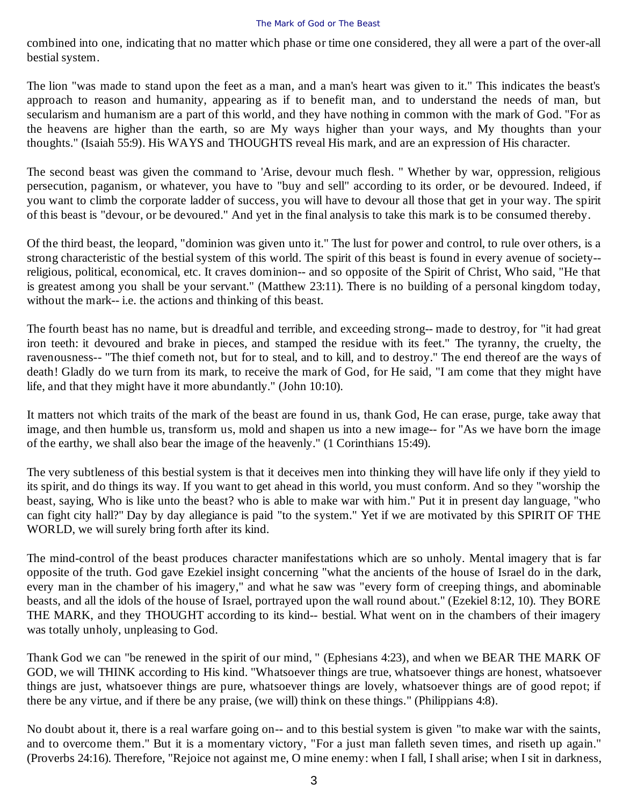combined into one, indicating that no matter which phase or time one considered, they all were a part of the over-all bestial system.

The lion "was made to stand upon the feet as a man, and a man's heart was given to it." This indicates the beast's approach to reason and humanity, appearing as if to benefit man, and to understand the needs of man, but secularism and humanism are a part of this world, and they have nothing in common with the mark of God. "For as the heavens are higher than the earth, so are My ways higher than your ways, and My thoughts than your thoughts." (Isaiah 55:9). His WAYS and THOUGHTS reveal His mark, and are an expression of His character.

The second beast was given the command to 'Arise, devour much flesh. " Whether by war, oppression, religious persecution, paganism, or whatever, you have to "buy and sell" according to its order, or be devoured. Indeed, if you want to climb the corporate ladder of success, you will have to devour all those that get in your way. The spirit of this beast is "devour, or be devoured." And yet in the final analysis to take this mark is to be consumed thereby.

Of the third beast, the leopard, "dominion was given unto it." The lust for power and control, to rule over others, is a strong characteristic of the bestial system of this world. The spirit of this beast is found in every avenue of society- religious, political, economical, etc. It craves dominion-- and so opposite of the Spirit of Christ, Who said, "He that is greatest among you shall be your servant." (Matthew 23:11). There is no building of a personal kingdom today, without the mark-- i.e. the actions and thinking of this beast.

The fourth beast has no name, but is dreadful and terrible, and exceeding strong-- made to destroy, for "it had great iron teeth: it devoured and brake in pieces, and stamped the residue with its feet." The tyranny, the cruelty, the ravenousness-- "The thief cometh not, but for to steal, and to kill, and to destroy." The end thereof are the ways of death! Gladly do we turn from its mark, to receive the mark of God, for He said, "I am come that they might have life, and that they might have it more abundantly." (John 10:10).

It matters not which traits of the mark of the beast are found in us, thank God, He can erase, purge, take away that image, and then humble us, transform us, mold and shapen us into a new image-- for "As we have born the image of the earthy, we shall also bear the image of the heavenly." (1 Corinthians 15:49).

The very subtleness of this bestial system is that it deceives men into thinking they will have life only if they yield to its spirit, and do things its way. If you want to get ahead in this world, you must conform. And so they "worship the beast, saying, Who is like unto the beast? who is able to make war with him." Put it in present day language, "who can fight city hall?" Day by day allegiance is paid "to the system." Yet if we are motivated by this SPIRIT OF THE WORLD, we will surely bring forth after its kind.

The mind-control of the beast produces character manifestations which are so unholy. Mental imagery that is far opposite of the truth. God gave Ezekiel insight concerning "what the ancients of the house of Israel do in the dark, every man in the chamber of his imagery," and what he saw was "every form of creeping things, and abominable beasts, and all the idols of the house of Israel, portrayed upon the wall round about." (Ezekiel 8:12, 10). They BORE THE MARK, and they THOUGHT according to its kind-- bestial. What went on in the chambers of their imagery was totally unholy, unpleasing to God.

Thank God we can "be renewed in the spirit of our mind, " (Ephesians 4:23), and when we BEAR THE MARK OF GOD, we will THINK according to His kind. "Whatsoever things are true, whatsoever things are honest, whatsoever things are just, whatsoever things are pure, whatsoever things are lovely, whatsoever things are of good repot; if there be any virtue, and if there be any praise, (we will) think on these things." (Philippians 4:8).

No doubt about it, there is a real warfare going on-- and to this bestial system is given "to make war with the saints, and to overcome them." But it is a momentary victory, "For a just man falleth seven times, and riseth up again." (Proverbs 24:16). Therefore, "Rejoice not against me, O mine enemy: when I fall, I shall arise; when I sit in darkness,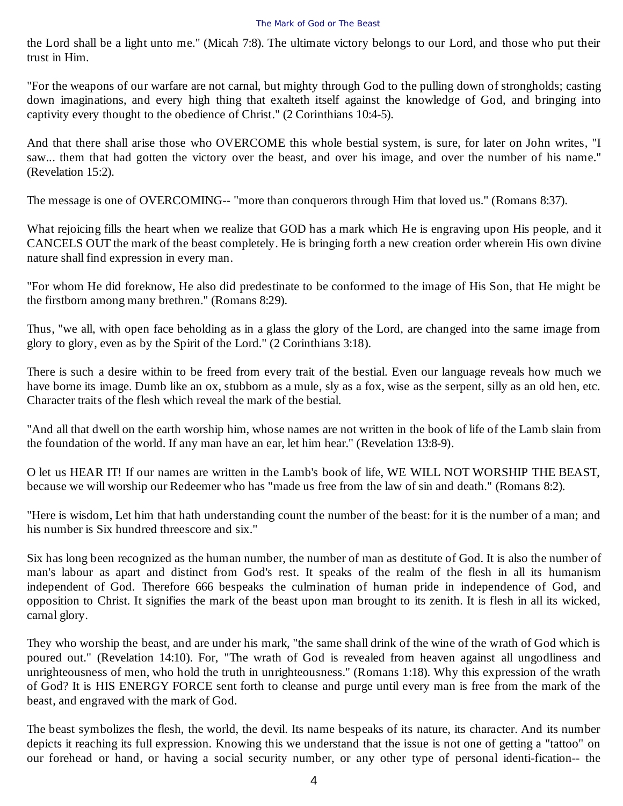the Lord shall be a light unto me." (Micah 7:8). The ultimate victory belongs to our Lord, and those who put their trust in Him.

"For the weapons of our warfare are not carnal, but mighty through God to the pulling down of strongholds; casting down imaginations, and every high thing that exalteth itself against the knowledge of God, and bringing into captivity every thought to the obedience of Christ." (2 Corinthians 10:4-5).

And that there shall arise those who OVERCOME this whole bestial system, is sure, for later on John writes, "I saw... them that had gotten the victory over the beast, and over his image, and over the number of his name." (Revelation 15:2).

The message is one of OVERCOMING-- "more than conquerors through Him that loved us." (Romans 8:37).

What rejoicing fills the heart when we realize that GOD has a mark which He is engraving upon His people, and it CANCELS OUT the mark of the beast completely. He is bringing forth a new creation order wherein His own divine nature shall find expression in every man.

"For whom He did foreknow, He also did predestinate to be conformed to the image of His Son, that He might be the firstborn among many brethren." (Romans 8:29).

Thus, "we all, with open face beholding as in a glass the glory of the Lord, are changed into the same image from glory to glory, even as by the Spirit of the Lord." (2 Corinthians 3:18).

There is such a desire within to be freed from every trait of the bestial. Even our language reveals how much we have borne its image. Dumb like an ox, stubborn as a mule, sly as a fox, wise as the serpent, silly as an old hen, etc. Character traits of the flesh which reveal the mark of the bestial.

"And all that dwell on the earth worship him, whose names are not written in the book of life of the Lamb slain from the foundation of the world. If any man have an ear, let him hear." (Revelation 13:8-9).

O let us HEAR IT! If our names are written in the Lamb's book of life, WE WILL NOT WORSHIP THE BEAST, because we will worship our Redeemer who has "made us free from the law of sin and death." (Romans 8:2).

"Here is wisdom, Let him that hath understanding count the number of the beast: for it is the number of a man; and his number is Six hundred threescore and six."

Six has long been recognized as the human number, the number of man as destitute of God. It is also the number of man's labour as apart and distinct from God's rest. It speaks of the realm of the flesh in all its humanism independent of God. Therefore 666 bespeaks the culmination of human pride in independence of God, and opposition to Christ. It signifies the mark of the beast upon man brought to its zenith. It is flesh in all its wicked, carnal glory.

They who worship the beast, and are under his mark, "the same shall drink of the wine of the wrath of God which is poured out." (Revelation 14:10). For, "The wrath of God is revealed from heaven against all ungodliness and unrighteousness of men, who hold the truth in unrighteousness." (Romans 1:18). Why this expression of the wrath of God? It is HIS ENERGY FORCE sent forth to cleanse and purge until every man is free from the mark of the beast, and engraved with the mark of God.

The beast symbolizes the flesh, the world, the devil. Its name bespeaks of its nature, its character. And its number depicts it reaching its full expression. Knowing this we understand that the issue is not one of getting a "tattoo" on our forehead or hand, or having a social security number, or any other type of personal identi-fication-- the